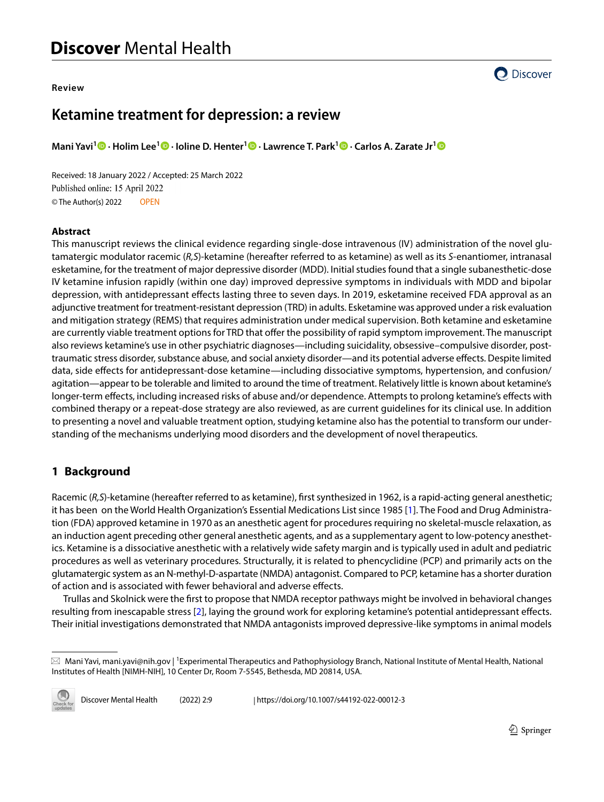#### **Review**



# **Ketamine treatment for depression: a review**

**Mani Yavi1  [·](https://orcid.org/0000-0001-8387-4720) Holim Lee<sup>1</sup>  [·](https://orcid.org/0000-0002-2185-4975) Ioline D. Henter1 · Lawrence T. Park1 · Carlos A. Zarate Jr[1](https://orcid.org/0000-0003-4442-7412)**

Received: 18 January 2022 / Accepted: 25 March 2022 Published online: 15 April 2022 © The Author(s) 2022 OPEN

#### **Abstract**

This manuscript reviews the clinical evidence regarding single-dose intravenous (IV) administration of the novel glutamatergic modulator racemic (*R,S*)-ketamine (hereafter referred to as ketamine) as well as its *S*-enantiomer, intranasal esketamine, for the treatment of major depressive disorder (MDD). Initial studies found that a single subanesthetic-dose IV ketamine infusion rapidly (within one day) improved depressive symptoms in individuals with MDD and bipolar depression, with antidepressant efects lasting three to seven days. In 2019, esketamine received FDA approval as an adjunctive treatment for treatment-resistant depression (TRD) in adults. Esketamine was approved under a risk evaluation and mitigation strategy (REMS) that requires administration under medical supervision. Both ketamine and esketamine are currently viable treatment options for TRD that offer the possibility of rapid symptom improvement. The manuscript also reviews ketamine's use in other psychiatric diagnoses—including suicidality, obsessive–compulsive disorder, posttraumatic stress disorder, substance abuse, and social anxiety disorder—and its potential adverse efects. Despite limited data, side efects for antidepressant-dose ketamine—including dissociative symptoms, hypertension, and confusion/ agitation—appear to be tolerable and limited to around the time of treatment. Relatively little is known about ketamine's longer-term efects, including increased risks of abuse and/or dependence. Attempts to prolong ketamine's efects with combined therapy or a repeat-dose strategy are also reviewed, as are current guidelines for its clinical use. In addition to presenting a novel and valuable treatment option, studying ketamine also has the potential to transform our understanding of the mechanisms underlying mood disorders and the development of novel therapeutics.

# **1 Background**

Racemic (*R,S*)-ketamine (hereafter referred to as ketamine), frst synthesized in 1962, is a rapid-acting general anesthetic; it has been on the World Health Organization's Essential Medications List since 1985 [\[1\]](#page-10-0). The Food and Drug Administration (FDA) approved ketamine in 1970 as an anesthetic agent for procedures requiring no skeletal-muscle relaxation, as an induction agent preceding other general anesthetic agents, and as a supplementary agent to low-potency anesthetics. Ketamine is a dissociative anesthetic with a relatively wide safety margin and is typically used in adult and pediatric procedures as well as veterinary procedures. Structurally, it is related to phencyclidine (PCP) and primarily acts on the glutamatergic system as an N-methyl-D-aspartate (NMDA) antagonist. Compared to PCP, ketamine has a shorter duration of action and is associated with fewer behavioral and adverse efects.

Trullas and Skolnick were the frst to propose that NMDA receptor pathways might be involved in behavioral changes resulting from inescapable stress [[2\]](#page-10-1), laying the ground work for exploring ketamine's potential antidepressant efects. Their initial investigations demonstrated that NMDA antagonists improved depressive-like symptoms in animal models

 $\boxtimes$  Mani Yavi, mani.yavi@nih.gov | <sup>1</sup>Experimental Therapeutics and Pathophysiology Branch, National Institute of Mental Health, National Institutes of Health [NIMH-NIH], 10 Center Dr, Room 7-5545, Bethesda, MD 20814, USA.

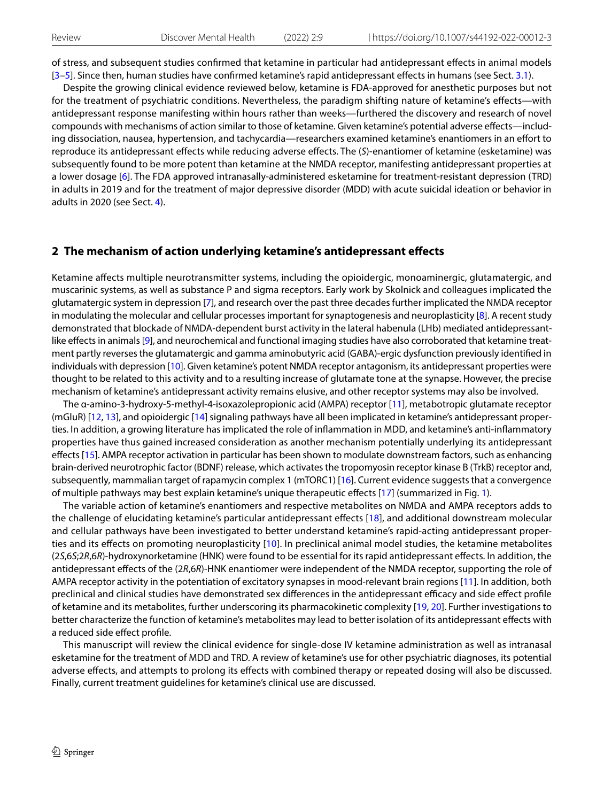of stress, and subsequent studies confrmed that ketamine in particular had antidepressant efects in animal models [[3](#page-10-2)[–5](#page-10-3)]. Since then, human studies have confrmed ketamine's rapid antidepressant efects in humans (see Sect. [3.1](#page-2-0)).

Despite the growing clinical evidence reviewed below, ketamine is FDA-approved for anesthetic purposes but not for the treatment of psychiatric conditions. Nevertheless, the paradigm shifting nature of ketamine's efects—with antidepressant response manifesting within hours rather than weeks—furthered the discovery and research of novel compounds with mechanisms of action similar to those of ketamine. Given ketamine's potential adverse efects—including dissociation, nausea, hypertension, and tachycardia—researchers examined ketamine's enantiomers in an efort to reproduce its antidepressant efects while reducing adverse efects. The (*S*)-enantiomer of ketamine (esketamine) was subsequently found to be more potent than ketamine at the NMDA receptor, manifesting antidepressant properties at a lower dosage [\[6\]](#page-10-4). The FDA approved intranasally-administered esketamine for treatment-resistant depression (TRD) in adults in 2019 and for the treatment of major depressive disorder (MDD) with acute suicidal ideation or behavior in adults in 2020 (see Sect. [4](#page-3-0)).

### **2 The mechanism of action underlying ketamine's antidepressant efects**

Ketamine afects multiple neurotransmitter systems, including the opioidergic, monoaminergic, glutamatergic, and muscarinic systems, as well as substance P and sigma receptors. Early work by Skolnick and colleagues implicated the glutamatergic system in depression [\[7](#page-10-5)], and research over the past three decades further implicated the NMDA receptor in modulating the molecular and cellular processes important for synaptogenesis and neuroplasticity [[8\]](#page-10-6). A recent study demonstrated that blockade of NMDA-dependent burst activity in the lateral habenula (LHb) mediated antidepressantlike efects in animals [[9](#page-10-7)], and neurochemical and functional imaging studies have also corroborated that ketamine treatment partly reverses the glutamatergic and gamma aminobutyric acid (GABA)-ergic dysfunction previously identifed in individuals with depression [[10\]](#page-10-8). Given ketamine's potent NMDA receptor antagonism, its antidepressant properties were thought to be related to this activity and to a resulting increase of glutamate tone at the synapse. However, the precise mechanism of ketamine's antidepressant activity remains elusive, and other receptor systems may also be involved.

The α-amino-3-hydroxy-5-methyl-4-isoxazolepropionic acid (AMPA) receptor [\[11\]](#page-10-9), metabotropic glutamate receptor (mGluR) [[12,](#page-10-10) [13](#page-10-11)], and opioidergic [[14](#page-10-12)] signaling pathways have all been implicated in ketamine's antidepressant properties. In addition, a growing literature has implicated the role of infammation in MDD, and ketamine's anti-infammatory properties have thus gained increased consideration as another mechanism potentially underlying its antidepressant efects [\[15\]](#page-10-13). AMPA receptor activation in particular has been shown to modulate downstream factors, such as enhancing brain-derived neurotrophic factor (BDNF) release, which activates the tropomyosin receptor kinase B (TrkB) receptor and, subsequently, mammalian target of rapamycin complex 1 (mTORC1) [\[16](#page-10-14)]. Current evidence suggests that a convergence of multiple pathways may best explain ketamine's unique therapeutic efects [[17](#page-10-15)] (summarized in Fig. [1](#page-2-1)).

The variable action of ketamine's enantiomers and respective metabolites on NMDA and AMPA receptors adds to the challenge of elucidating ketamine's particular antidepressant efects [\[18](#page-10-16)], and additional downstream molecular and cellular pathways have been investigated to better understand ketamine's rapid-acting antidepressant properties and its efects on promoting neuroplasticity [\[10](#page-10-8)]. In preclinical animal model studies, the ketamine metabolites (2*S*,6*S*;2*R*,6*R*)-hydroxynorketamine (HNK) were found to be essential for its rapid antidepressant efects. In addition, the antidepressant efects of the (2*R*,6*R*)-HNK enantiomer were independent of the NMDA receptor, supporting the role of AMPA receptor activity in the potentiation of excitatory synapses in mood-relevant brain regions [[11](#page-10-9)]. In addition, both preclinical and clinical studies have demonstrated sex differences in the antidepressant efficacy and side effect profile of ketamine and its metabolites, further underscoring its pharmacokinetic complexity [[19](#page-10-17), [20](#page-10-18)]. Further investigations to better characterize the function of ketamine's metabolites may lead to better isolation of its antidepressant efects with a reduced side efect profle.

This manuscript will review the clinical evidence for single-dose IV ketamine administration as well as intranasal esketamine for the treatment of MDD and TRD. A review of ketamine's use for other psychiatric diagnoses, its potential adverse efects, and attempts to prolong its efects with combined therapy or repeated dosing will also be discussed. Finally, current treatment guidelines for ketamine's clinical use are discussed.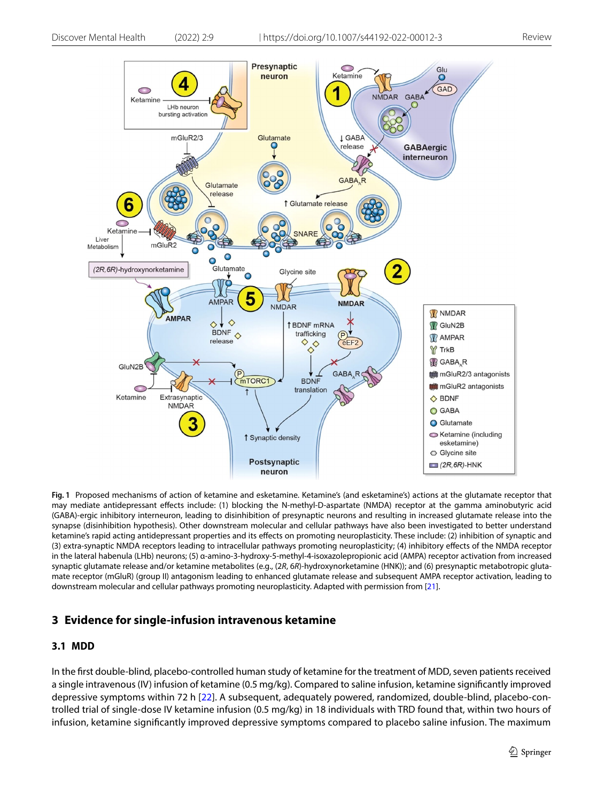

<span id="page-2-1"></span>**Fig. 1** Proposed mechanisms of action of ketamine and esketamine. Ketamine's (and esketamine's) actions at the glutamate receptor that may mediate antidepressant efects include: (1) blocking the N-methyl-D-aspartate (NMDA) receptor at the gamma aminobutyric acid (GABA)-ergic inhibitory interneuron, leading to disinhibition of presynaptic neurons and resulting in increased glutamate release into the synapse (disinhibition hypothesis). Other downstream molecular and cellular pathways have also been investigated to better understand ketamine's rapid acting antidepressant properties and its efects on promoting neuroplasticity. These include: (2) inhibition of synaptic and (3) extra-synaptic NMDA receptors leading to intracellular pathways promoting neuroplasticity; (4) inhibitory efects of the NMDA receptor in the lateral habenula (LHb) neurons; (5) α-amino-3-hydroxy-5-methyl-4-isoxazolepropionic acid (AMPA) receptor activation from increased synaptic glutamate release and/or ketamine metabolites (e.g., (2*R*, 6*R*)-hydroxynorketamine (HNK)); and (6) presynaptic metabotropic glutamate receptor (mGluR) (group II) antagonism leading to enhanced glutamate release and subsequent AMPA receptor activation, leading to downstream molecular and cellular pathways promoting neuroplasticity. Adapted with permission from [\[21](#page-10-20)].

### **3 Evidence for single‑infusion intravenous ketamine**

### <span id="page-2-0"></span>**3.1 MDD**

In the frst double-blind, placebo-controlled human study of ketamine for the treatment of MDD, seven patients received a single intravenous (IV) infusion of ketamine (0.5 mg/kg). Compared to saline infusion, ketamine signifcantly improved depressive symptoms within 72 h [[22](#page-10-19)]. A subsequent, adequately powered, randomized, double-blind, placebo-controlled trial of single-dose IV ketamine infusion (0.5 mg/kg) in 18 individuals with TRD found that, within two hours of infusion, ketamine signifcantly improved depressive symptoms compared to placebo saline infusion. The maximum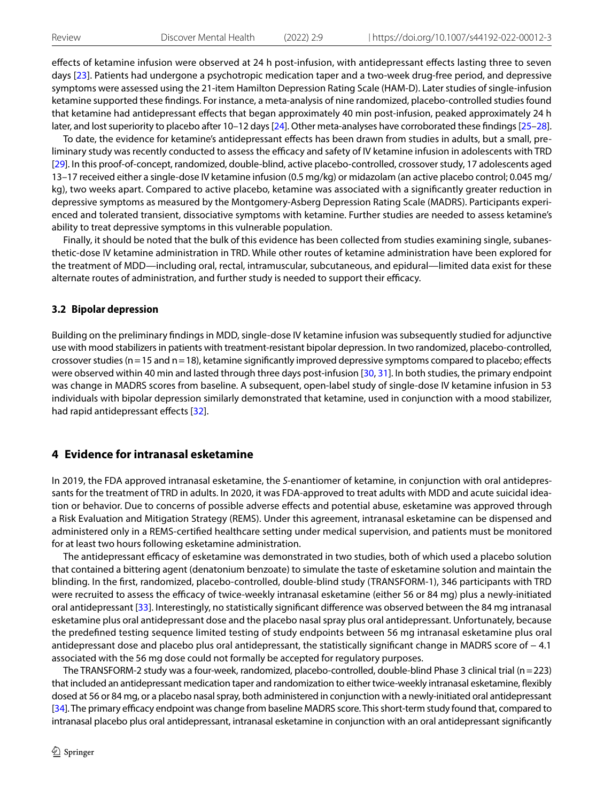efects of ketamine infusion were observed at 24 h post-infusion, with antidepressant efects lasting three to seven days [\[23\]](#page-11-0). Patients had undergone a psychotropic medication taper and a two-week drug-free period, and depressive symptoms were assessed using the 21-item Hamilton Depression Rating Scale (HAM-D). Later studies of single-infusion ketamine supported these fndings. For instance, a meta-analysis of nine randomized, placebo-controlled studies found that ketamine had antidepressant effects that began approximately 40 min post-infusion, peaked approximately 24 h later, and lost superiority to placebo after 10–12 days [\[24\]](#page-11-1). Other meta-analyses have corroborated these fndings [\[25](#page-11-2)[–28](#page-11-3)].

To date, the evidence for ketamine's antidepressant efects has been drawn from studies in adults, but a small, preliminary study was recently conducted to assess the efficacy and safety of IV ketamine infusion in adolescents with TRD [[29](#page-11-4)]. In this proof-of-concept, randomized, double-blind, active placebo-controlled, crossover study, 17 adolescents aged 13–17 received either a single-dose IV ketamine infusion (0.5 mg/kg) or midazolam (an active placebo control; 0.045 mg/ kg), two weeks apart. Compared to active placebo, ketamine was associated with a signifcantly greater reduction in depressive symptoms as measured by the Montgomery-Asberg Depression Rating Scale (MADRS). Participants experienced and tolerated transient, dissociative symptoms with ketamine. Further studies are needed to assess ketamine's ability to treat depressive symptoms in this vulnerable population.

Finally, it should be noted that the bulk of this evidence has been collected from studies examining single, subanesthetic-dose IV ketamine administration in TRD. While other routes of ketamine administration have been explored for the treatment of MDD—including oral, rectal, intramuscular, subcutaneous, and epidural—limited data exist for these alternate routes of administration, and further study is needed to support their efficacy.

#### **3.2 Bipolar depression**

Building on the preliminary fndings in MDD, single-dose IV ketamine infusion was subsequently studied for adjunctive use with mood stabilizers in patients with treatment-resistant bipolar depression. In two randomized, placebo-controlled, crossover studies ( $n=15$  and  $n=18$ ), ketamine significantly improved depressive symptoms compared to placebo; effects were observed within 40 min and lasted through three days post-infusion [[30,](#page-11-5) [31](#page-11-6)]. In both studies, the primary endpoint was change in MADRS scores from baseline. A subsequent, open-label study of single-dose IV ketamine infusion in 53 individuals with bipolar depression similarly demonstrated that ketamine, used in conjunction with a mood stabilizer, had rapid antidepressant effects [[32\]](#page-11-7).

### <span id="page-3-0"></span>**4 Evidence for intranasal esketamine**

In 2019, the FDA approved intranasal esketamine, the *S*-enantiomer of ketamine, in conjunction with oral antidepressants for the treatment of TRD in adults. In 2020, it was FDA-approved to treat adults with MDD and acute suicidal ideation or behavior. Due to concerns of possible adverse efects and potential abuse, esketamine was approved through a Risk Evaluation and Mitigation Strategy (REMS). Under this agreement, intranasal esketamine can be dispensed and administered only in a REMS-certifed healthcare setting under medical supervision, and patients must be monitored for at least two hours following esketamine administration.

The antidepressant efficacy of esketamine was demonstrated in two studies, both of which used a placebo solution that contained a bittering agent (denatonium benzoate) to simulate the taste of esketamine solution and maintain the blinding. In the frst, randomized, placebo-controlled, double-blind study (TRANSFORM-1), 346 participants with TRD were recruited to assess the efficacy of twice-weekly intranasal esketamine (either 56 or 84 mg) plus a newly-initiated oral antidepressant [\[33\]](#page-11-8). Interestingly, no statistically signifcant diference was observed between the 84 mg intranasal esketamine plus oral antidepressant dose and the placebo nasal spray plus oral antidepressant. Unfortunately, because the predefned testing sequence limited testing of study endpoints between 56 mg intranasal esketamine plus oral antidepressant dose and placebo plus oral antidepressant, the statistically signifcant change in MADRS score of − 4.1 associated with the 56 mg dose could not formally be accepted for regulatory purposes.

The TRANSFORM-2 study was a four-week, randomized, placebo-controlled, double-blind Phase 3 clinical trial (n=223) that included an antidepressant medication taper and randomization to either twice-weekly intranasal esketamine, fexibly dosed at 56 or 84 mg, or a placebo nasal spray, both administered in conjunction with a newly-initiated oral antidepressant [[34\]](#page-11-9). The primary efficacy endpoint was change from baseline MADRS score. This short-term study found that, compared to intranasal placebo plus oral antidepressant, intranasal esketamine in conjunction with an oral antidepressant signifcantly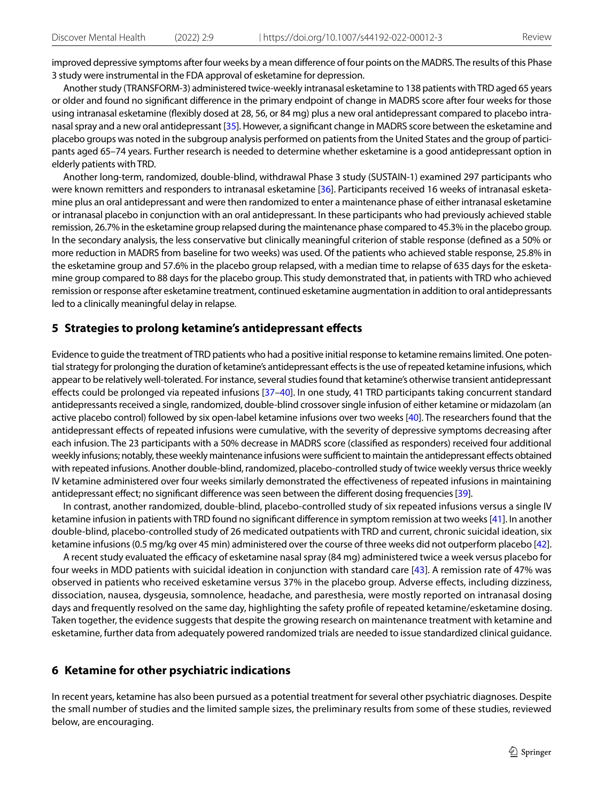improved depressive symptoms after four weeks by a mean diference of four points on the MADRS. The results of this Phase 3 study were instrumental in the FDA approval of esketamine for depression.

Another study (TRANSFORM-3) administered twice-weekly intranasal esketamine to 138 patients with TRD aged 65 years or older and found no signifcant diference in the primary endpoint of change in MADRS score after four weeks for those using intranasal esketamine (fexibly dosed at 28, 56, or 84 mg) plus a new oral antidepressant compared to placebo intranasal spray and a new oral antidepressant [\[35](#page-11-10)]. However, a signifcant change in MADRS score between the esketamine and placebo groups was noted in the subgroup analysis performed on patients from the United States and the group of participants aged 65–74 years. Further research is needed to determine whether esketamine is a good antidepressant option in elderly patients with TRD.

Another long-term, randomized, double-blind, withdrawal Phase 3 study (SUSTAIN-1) examined 297 participants who were known remitters and responders to intranasal esketamine [\[36](#page-11-11)]. Participants received 16 weeks of intranasal esketamine plus an oral antidepressant and were then randomized to enter a maintenance phase of either intranasal esketamine or intranasal placebo in conjunction with an oral antidepressant. In these participants who had previously achieved stable remission, 26.7% in the esketamine group relapsed during the maintenance phase compared to 45.3% in the placebo group. In the secondary analysis, the less conservative but clinically meaningful criterion of stable response (defned as a 50% or more reduction in MADRS from baseline for two weeks) was used. Of the patients who achieved stable response, 25.8% in the esketamine group and 57.6% in the placebo group relapsed, with a median time to relapse of 635 days for the esketamine group compared to 88 days for the placebo group. This study demonstrated that, in patients with TRD who achieved remission or response after esketamine treatment, continued esketamine augmentation in addition to oral antidepressants led to a clinically meaningful delay in relapse.

#### **5 Strategies to prolong ketamine's antidepressant efects**

Evidence to guide the treatment of TRD patients who had a positive initial response to ketamine remains limited. One potential strategy for prolonging the duration of ketamine's antidepressant efects is the use of repeated ketamine infusions, which appear to be relatively well-tolerated. For instance, several studies found that ketamine's otherwise transient antidepressant efects could be prolonged via repeated infusions [\[37](#page-11-12)[–40](#page-11-13)]. In one study, 41 TRD participants taking concurrent standard antidepressants received a single, randomized, double-blind crossover single infusion of either ketamine or midazolam (an active placebo control) followed by six open-label ketamine infusions over two weeks [[40\]](#page-11-13). The researchers found that the antidepressant efects of repeated infusions were cumulative, with the severity of depressive symptoms decreasing after each infusion. The 23 participants with a 50% decrease in MADRS score (classifed as responders) received four additional weekly infusions; notably, these weekly maintenance infusions were sufficient to maintain the antidepressant effects obtained with repeated infusions. Another double-blind, randomized, placebo-controlled study of twice weekly versus thrice weekly IV ketamine administered over four weeks similarly demonstrated the efectiveness of repeated infusions in maintaining antidepressant efect; no signifcant diference was seen between the diferent dosing frequencies [[39\]](#page-11-14).

In contrast, another randomized, double-blind, placebo-controlled study of six repeated infusions versus a single IV ketamine infusion in patients with TRD found no signifcant diference in symptom remission at two weeks [\[41](#page-11-15)]. In another double-blind, placebo-controlled study of 26 medicated outpatients with TRD and current, chronic suicidal ideation, six ketamine infusions (0.5 mg/kg over 45 min) administered over the course of three weeks did not outperform placebo [\[42](#page-11-16)].

A recent study evaluated the efficacy of esketamine nasal spray (84 mg) administered twice a week versus placebo for four weeks in MDD patients with suicidal ideation in conjunction with standard care [[43](#page-11-17)]. A remission rate of 47% was observed in patients who received esketamine versus 37% in the placebo group. Adverse efects, including dizziness, dissociation, nausea, dysgeusia, somnolence, headache, and paresthesia, were mostly reported on intranasal dosing days and frequently resolved on the same day, highlighting the safety profle of repeated ketamine/esketamine dosing. Taken together, the evidence suggests that despite the growing research on maintenance treatment with ketamine and esketamine, further data from adequately powered randomized trials are needed to issue standardized clinical guidance.

#### **6 Ketamine for other psychiatric indications**

In recent years, ketamine has also been pursued as a potential treatment for several other psychiatric diagnoses. Despite the small number of studies and the limited sample sizes, the preliminary results from some of these studies, reviewed below, are encouraging.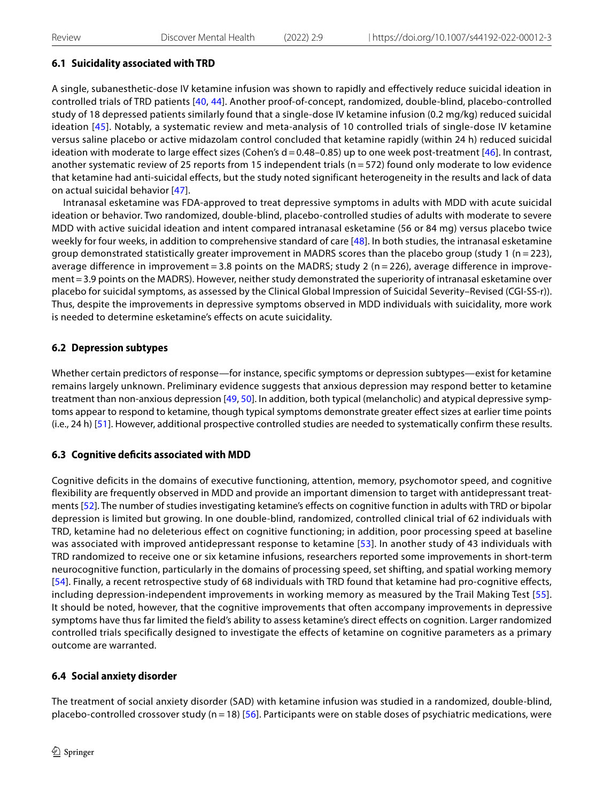### **6.1 Suicidality associated with TRD**

A single, subanesthetic-dose IV ketamine infusion was shown to rapidly and effectively reduce suicidal ideation in controlled trials of TRD patients [[40,](#page-11-13) [44\]](#page-11-18). Another proof-of-concept, randomized, double-blind, placebo-controlled study of 18 depressed patients similarly found that a single-dose IV ketamine infusion (0.2 mg/kg) reduced suicidal ideation [[45\]](#page-11-19). Notably, a systematic review and meta-analysis of 10 controlled trials of single-dose IV ketamine versus saline placebo or active midazolam control concluded that ketamine rapidly (within 24 h) reduced suicidal ideation with moderate to large effect sizes (Cohen's  $d = 0.48 - 0.85$ ) up to one week post-treatment [\[46\]](#page-11-20). In contrast, another systematic review of 25 reports from 15 independent trials (n = 572) found only moderate to low evidence that ketamine had anti-suicidal effects, but the study noted significant heterogeneity in the results and lack of data on actual suicidal behavior [[47\]](#page-11-21).

Intranasal esketamine was FDA-approved to treat depressive symptoms in adults with MDD with acute suicidal ideation or behavior. Two randomized, double-blind, placebo-controlled studies of adults with moderate to severe MDD with active suicidal ideation and intent compared intranasal esketamine (56 or 84 mg) versus placebo twice weekly for four weeks, in addition to comprehensive standard of care [[48](#page-11-22)]. In both studies, the intranasal esketamine group demonstrated statistically greater improvement in MADRS scores than the placebo group (study 1 (n = 223), average difference in improvement = 3.8 points on the MADRS; study 2 (n = 226), average difference in improvement=3.9 points on the MADRS). However, neither study demonstrated the superiority of intranasal esketamine over placebo for suicidal symptoms, as assessed by the Clinical Global Impression of Suicidal Severity–Revised (CGI-SS-r)). Thus, despite the improvements in depressive symptoms observed in MDD individuals with suicidality, more work is needed to determine esketamine's effects on acute suicidality.

### **6.2 Depression subtypes**

Whether certain predictors of response—for instance, specific symptoms or depression subtypes—exist for ketamine remains largely unknown. Preliminary evidence suggests that anxious depression may respond better to ketamine treatment than non-anxious depression [\[49,](#page-11-23) [50](#page-11-24)]. In addition, both typical (melancholic) and atypical depressive symptoms appear to respond to ketamine, though typical symptoms demonstrate greater effect sizes at earlier time points (i.e., 24 h) [[51](#page-11-25)]. However, additional prospective controlled studies are needed to systematically confirm these results.

### **6.3 Cognitive defcits associated with MDD**

Cognitive deficits in the domains of executive functioning, attention, memory, psychomotor speed, and cognitive flexibility are frequently observed in MDD and provide an important dimension to target with antidepressant treatments [[52](#page-11-26)]. The number of studies investigating ketamine's effects on cognitive function in adults with TRD or bipolar depression is limited but growing. In one double-blind, randomized, controlled clinical trial of 62 individuals with TRD, ketamine had no deleterious effect on cognitive functioning; in addition, poor processing speed at baseline was associated with improved antidepressant response to ketamine [\[53](#page-11-27)]. In another study of 43 individuals with TRD randomized to receive one or six ketamine infusions, researchers reported some improvements in short-term neurocognitive function, particularly in the domains of processing speed, set shifting, and spatial working memory [[54\]](#page-12-0). Finally, a recent retrospective study of 68 individuals with TRD found that ketamine had pro-cognitive effects, including depression-independent improvements in working memory as measured by the Trail Making Test [\[55](#page-12-1)]. It should be noted, however, that the cognitive improvements that often accompany improvements in depressive symptoms have thus far limited the field's ability to assess ketamine's direct effects on cognition. Larger randomized controlled trials specifically designed to investigate the effects of ketamine on cognitive parameters as a primary outcome are warranted.

# **6.4 Social anxiety disorder**

The treatment of social anxiety disorder (SAD) with ketamine infusion was studied in a randomized, double-blind, placebo-controlled crossover study ( $n = 18$ ) [[56\]](#page-12-2). Participants were on stable doses of psychiatric medications, were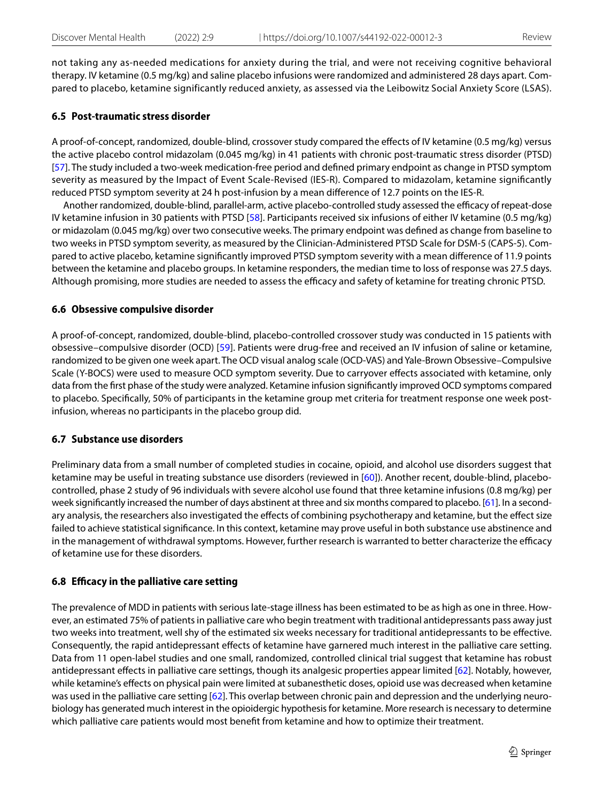not taking any as-needed medications for anxiety during the trial, and were not receiving cognitive behavioral therapy. IV ketamine (0.5 mg/kg) and saline placebo infusions were randomized and administered 28 days apart. Compared to placebo, ketamine significantly reduced anxiety, as assessed via the Leibowitz Social Anxiety Score (LSAS).

#### **6.5 Post‑traumatic stress disorder**

A proof-of-concept, randomized, double-blind, crossover study compared the efects of IV ketamine (0.5 mg/kg) versus the active placebo control midazolam (0.045 mg/kg) in 41 patients with chronic post-traumatic stress disorder (PTSD) [[57](#page-12-3)]. The study included a two-week medication-free period and defned primary endpoint as change in PTSD symptom severity as measured by the Impact of Event Scale-Revised (IES-R). Compared to midazolam, ketamine signifcantly reduced PTSD symptom severity at 24 h post-infusion by a mean diference of 12.7 points on the IES-R.

Another randomized, double-blind, parallel-arm, active placebo-controlled study assessed the efficacy of repeat-dose IV ketamine infusion in 30 patients with PTSD [[58](#page-12-4)]. Participants received six infusions of either IV ketamine (0.5 mg/kg) or midazolam (0.045 mg/kg) over two consecutive weeks. The primary endpoint was defned as change from baseline to two weeks in PTSD symptom severity, as measured by the Clinician-Administered PTSD Scale for DSM-5 (CAPS-5). Compared to active placebo, ketamine signifcantly improved PTSD symptom severity with a mean diference of 11.9 points between the ketamine and placebo groups. In ketamine responders, the median time to loss of response was 27.5 days. Although promising, more studies are needed to assess the efficacy and safety of ketamine for treating chronic PTSD.

#### **6.6 Obsessive compulsive disorder**

A proof-of-concept, randomized, double-blind, placebo-controlled crossover study was conducted in 15 patients with obsessive–compulsive disorder (OCD) [[59\]](#page-12-5). Patients were drug-free and received an IV infusion of saline or ketamine, randomized to be given one week apart. The OCD visual analog scale (OCD-VAS) and Yale-Brown Obsessive–Compulsive Scale (Y-BOCS) were used to measure OCD symptom severity. Due to carryover efects associated with ketamine, only data from the frst phase of the study were analyzed. Ketamine infusion signifcantly improved OCD symptoms compared to placebo. Specifcally, 50% of participants in the ketamine group met criteria for treatment response one week postinfusion, whereas no participants in the placebo group did.

#### **6.7 Substance use disorders**

Preliminary data from a small number of completed studies in cocaine, opioid, and alcohol use disorders suggest that ketamine may be useful in treating substance use disorders (reviewed in [\[60\]](#page-12-6)). Another recent, double-blind, placebocontrolled, phase 2 study of 96 individuals with severe alcohol use found that three ketamine infusions (0.8 mg/kg) per week signifcantly increased the number of days abstinent at three and six months compared to placebo. [[61\]](#page-12-7). In a secondary analysis, the researchers also investigated the efects of combining psychotherapy and ketamine, but the efect size failed to achieve statistical signifcance. In this context, ketamine may prove useful in both substance use abstinence and in the management of withdrawal symptoms. However, further research is warranted to better characterize the efficacy of ketamine use for these disorders.

### **6.8 Efcacy in the palliative care setting**

The prevalence of MDD in patients with serious late-stage illness has been estimated to be as high as one in three. However, an estimated 75% of patients in palliative care who begin treatment with traditional antidepressants pass away just two weeks into treatment, well shy of the estimated six weeks necessary for traditional antidepressants to be efective. Consequently, the rapid antidepressant efects of ketamine have garnered much interest in the palliative care setting. Data from 11 open-label studies and one small, randomized, controlled clinical trial suggest that ketamine has robust antidepressant efects in palliative care settings, though its analgesic properties appear limited [[62\]](#page-12-8). Notably, however, while ketamine's efects on physical pain were limited at subanesthetic doses, opioid use was decreased when ketamine was used in the palliative care setting [\[62](#page-12-8)]. This overlap between chronic pain and depression and the underlying neurobiology has generated much interest in the opioidergic hypothesis for ketamine. More research is necessary to determine which palliative care patients would most beneft from ketamine and how to optimize their treatment.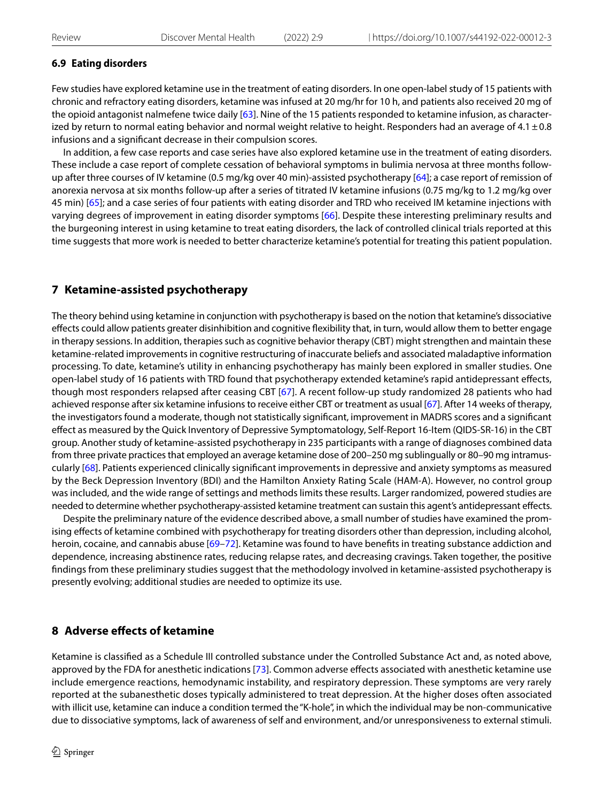### **6.9 Eating disorders**

Few studies have explored ketamine use in the treatment of eating disorders. In one open-label study of 15 patients with chronic and refractory eating disorders, ketamine was infused at 20 mg/hr for 10 h, and patients also received 20 mg of the opioid antagonist nalmefene twice daily [[63\]](#page-12-9). Nine of the 15 patients responded to ketamine infusion, as characterized by return to normal eating behavior and normal weight relative to height. Responders had an average of 4.1 $\pm$ 0.8 infusions and a signifcant decrease in their compulsion scores.

In addition, a few case reports and case series have also explored ketamine use in the treatment of eating disorders. These include a case report of complete cessation of behavioral symptoms in bulimia nervosa at three months follow-up after three courses of IV ketamine (0.5 mg/kg over 40 min)-assisted psychotherapy [\[64](#page-12-10)]; a case report of remission of anorexia nervosa at six months follow-up after a series of titrated IV ketamine infusions (0.75 mg/kg to 1.2 mg/kg over 45 min) [[65](#page-12-11)]; and a case series of four patients with eating disorder and TRD who received IM ketamine injections with varying degrees of improvement in eating disorder symptoms [[66](#page-12-12)]. Despite these interesting preliminary results and the burgeoning interest in using ketamine to treat eating disorders, the lack of controlled clinical trials reported at this time suggests that more work is needed to better characterize ketamine's potential for treating this patient population.

# <span id="page-7-0"></span>**7 Ketamine‑assisted psychotherapy**

The theory behind using ketamine in conjunction with psychotherapy is based on the notion that ketamine's dissociative efects could allow patients greater disinhibition and cognitive fexibility that, in turn, would allow them to better engage in therapy sessions. In addition, therapies such as cognitive behavior therapy (CBT) might strengthen and maintain these ketamine-related improvements in cognitive restructuring of inaccurate beliefs and associated maladaptive information processing. To date, ketamine's utility in enhancing psychotherapy has mainly been explored in smaller studies. One open-label study of 16 patients with TRD found that psychotherapy extended ketamine's rapid antidepressant efects, though most responders relapsed after ceasing CBT [\[67\]](#page-12-13). A recent follow-up study randomized 28 patients who had achieved response after six ketamine infusions to receive either CBT or treatment as usual [\[67](#page-12-13)]. After 14 weeks of therapy, the investigators found a moderate, though not statistically signifcant, improvement in MADRS scores and a signifcant efect as measured by the Quick Inventory of Depressive Symptomatology, Self-Report 16-Item (QIDS-SR-16) in the CBT group. Another study of ketamine-assisted psychotherapy in 235 participants with a range of diagnoses combined data from three private practices that employed an average ketamine dose of 200–250 mg sublingually or 80–90 mg intramuscularly [[68](#page-12-14)]. Patients experienced clinically signifcant improvements in depressive and anxiety symptoms as measured by the Beck Depression Inventory (BDI) and the Hamilton Anxiety Rating Scale (HAM-A). However, no control group was included, and the wide range of settings and methods limits these results. Larger randomized, powered studies are needed to determine whether psychotherapy-assisted ketamine treatment can sustain this agent's antidepressant efects.

Despite the preliminary nature of the evidence described above, a small number of studies have examined the promising efects of ketamine combined with psychotherapy for treating disorders other than depression, including alcohol, heroin, cocaine, and cannabis abuse [[69–](#page-12-15)[72](#page-12-16)]. Ketamine was found to have benefits in treating substance addiction and dependence, increasing abstinence rates, reducing relapse rates, and decreasing cravings. Taken together, the positive fndings from these preliminary studies suggest that the methodology involved in ketamine-assisted psychotherapy is presently evolving; additional studies are needed to optimize its use.

# **8 Adverse efects of ketamine**

Ketamine is classifed as a Schedule III controlled substance under the Controlled Substance Act and, as noted above, approved by the FDA for anesthetic indications [\[73\]](#page-12-17). Common adverse effects associated with anesthetic ketamine use include emergence reactions, hemodynamic instability, and respiratory depression. These symptoms are very rarely reported at the subanesthetic doses typically administered to treat depression. At the higher doses often associated with illicit use, ketamine can induce a condition termed the "K-hole", in which the individual may be non-communicative due to dissociative symptoms, lack of awareness of self and environment, and/or unresponsiveness to external stimuli.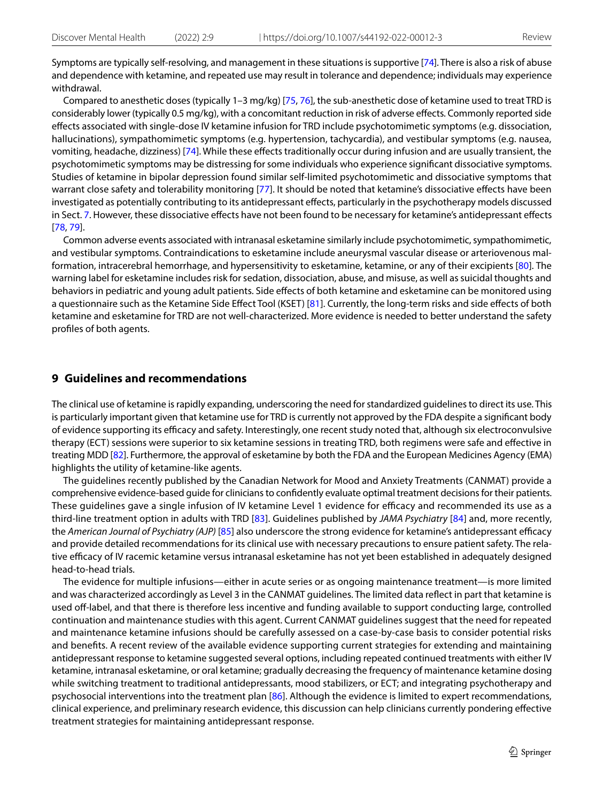Symptoms are typically self-resolving, and management in these situations is supportive [\[74](#page-12-18)]. There is also a risk of abuse and dependence with ketamine, and repeated use may result in tolerance and dependence; individuals may experience withdrawal.

Compared to anesthetic doses (typically 1–3 mg/kg) [[75,](#page-12-19) [76](#page-12-20)], the sub-anesthetic dose of ketamine used to treat TRD is considerably lower (typically 0.5 mg/kg), with a concomitant reduction in risk of adverse efects. Commonly reported side efects associated with single-dose IV ketamine infusion for TRD include psychotomimetic symptoms (e.g. dissociation, hallucinations), sympathomimetic symptoms (e.g. hypertension, tachycardia), and vestibular symptoms (e.g. nausea, vomiting, headache, dizziness) [\[74\]](#page-12-18). While these efects traditionally occur during infusion and are usually transient, the psychotomimetic symptoms may be distressing for some individuals who experience signifcant dissociative symptoms. Studies of ketamine in bipolar depression found similar self-limited psychotomimetic and dissociative symptoms that warrant close safety and tolerability monitoring [[77](#page-12-21)]. It should be noted that ketamine's dissociative efects have been investigated as potentially contributing to its antidepressant efects, particularly in the psychotherapy models discussed in Sect. [7.](#page-7-0) However, these dissociative efects have not been found to be necessary for ketamine's antidepressant efects [[78](#page-12-22), [79\]](#page-12-23).

Common adverse events associated with intranasal esketamine similarly include psychotomimetic, sympathomimetic, and vestibular symptoms. Contraindications to esketamine include aneurysmal vascular disease or arteriovenous malformation, intracerebral hemorrhage, and hypersensitivity to esketamine, ketamine, or any of their excipients [[80\]](#page-12-24)*.* The warning label for esketamine includes risk for sedation, dissociation, abuse, and misuse, as well as suicidal thoughts and behaviors in pediatric and young adult patients. Side efects of both ketamine and esketamine can be monitored using a questionnaire such as the Ketamine Side Efect Tool (KSET) [[81\]](#page-12-25). Currently, the long-term risks and side efects of both ketamine and esketamine for TRD are not well-characterized. More evidence is needed to better understand the safety profles of both agents.

#### **9 Guidelines and recommendations**

The clinical use of ketamine is rapidly expanding, underscoring the need for standardized guidelines to direct its use. This is particularly important given that ketamine use for TRD is currently not approved by the FDA despite a signifcant body of evidence supporting its efficacy and safety. Interestingly, one recent study noted that, although six electroconvulsive therapy (ECT) sessions were superior to six ketamine sessions in treating TRD, both regimens were safe and efective in treating MDD [[82\]](#page-12-26). Furthermore, the approval of esketamine by both the FDA and the European Medicines Agency (EMA) highlights the utility of ketamine-like agents.

The guidelines recently published by the Canadian Network for Mood and Anxiety Treatments (CANMAT) provide a comprehensive evidence-based guide for clinicians to confdently evaluate optimal treatment decisions for their patients. These guidelines gave a single infusion of IV ketamine Level 1 evidence for efficacy and recommended its use as a third-line treatment option in adults with TRD [\[83\]](#page-12-27). Guidelines published by *JAMA Psychiatry* [[84](#page-12-28)] and, more recently, the *American Journal of Psychiatry (AJP)* [[85](#page-12-29)] also underscore the strong evidence for ketamine's antidepressant efficacy and provide detailed recommendations for its clinical use with necessary precautions to ensure patient safety. The relative efficacy of IV racemic ketamine versus intranasal esketamine has not yet been established in adequately designed head-to-head trials.

The evidence for multiple infusions—either in acute series or as ongoing maintenance treatment—is more limited and was characterized accordingly as Level 3 in the CANMAT guidelines. The limited data refect in part that ketamine is used off-label, and that there is therefore less incentive and funding available to support conducting large, controlled continuation and maintenance studies with this agent. Current CANMAT guidelines suggest that the need for repeated and maintenance ketamine infusions should be carefully assessed on a case-by-case basis to consider potential risks and benefts. A recent review of the available evidence supporting current strategies for extending and maintaining antidepressant response to ketamine suggested several options, including repeated continued treatments with either IV ketamine, intranasal esketamine, or oral ketamine; gradually decreasing the frequency of maintenance ketamine dosing while switching treatment to traditional antidepressants, mood stabilizers, or ECT; and integrating psychotherapy and psychosocial interventions into the treatment plan [\[86\]](#page-13-0). Although the evidence is limited to expert recommendations, clinical experience, and preliminary research evidence, this discussion can help clinicians currently pondering efective treatment strategies for maintaining antidepressant response.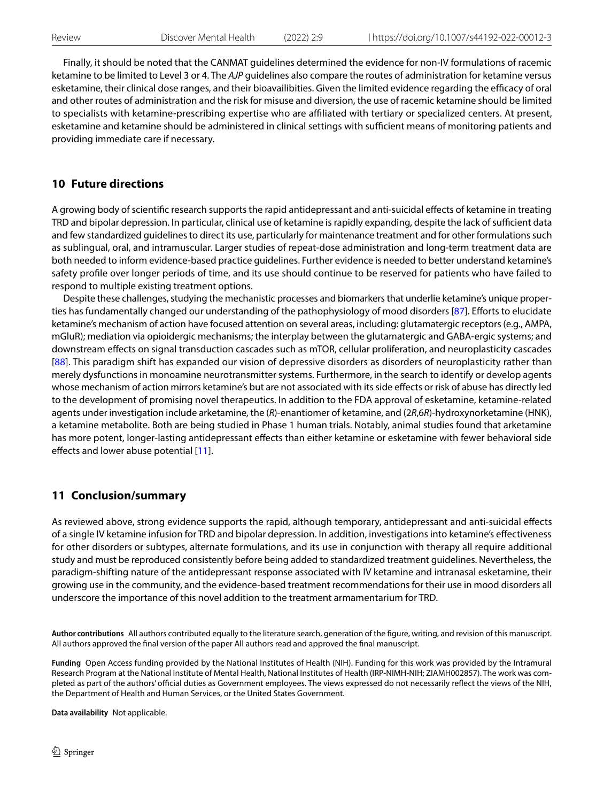Finally, it should be noted that the CANMAT guidelines determined the evidence for non-IV formulations of racemic ketamine to be limited to Level 3 or 4. The *AJP* guidelines also compare the routes of administration for ketamine versus esketamine, their clinical dose ranges, and their bioavailibities. Given the limited evidence regarding the efficacy of oral and other routes of administration and the risk for misuse and diversion, the use of racemic ketamine should be limited to specialists with ketamine-prescribing expertise who are affiliated with tertiary or specialized centers. At present, esketamine and ketamine should be administered in clinical settings with sufficient means of monitoring patients and providing immediate care if necessary.

### **10 Future directions**

A growing body of scientifc research supports the rapid antidepressant and anti-suicidal efects of ketamine in treating TRD and bipolar depression. In particular, clinical use of ketamine is rapidly expanding, despite the lack of sufficient data and few standardized guidelines to direct its use, particularly for maintenance treatment and for other formulations such as sublingual, oral, and intramuscular. Larger studies of repeat-dose administration and long-term treatment data are both needed to inform evidence-based practice guidelines. Further evidence is needed to better understand ketamine's safety profle over longer periods of time, and its use should continue to be reserved for patients who have failed to respond to multiple existing treatment options.

Despite these challenges, studying the mechanistic processes and biomarkers that underlie ketamine's unique proper-ties has fundamentally changed our understanding of the pathophysiology of mood disorders [[87\]](#page-13-1). Efforts to elucidate ketamine's mechanism of action have focused attention on several areas, including: glutamatergic receptors (e.g., AMPA, mGluR); mediation via opioidergic mechanisms; the interplay between the glutamatergic and GABA-ergic systems; and downstream efects on signal transduction cascades such as mTOR, cellular proliferation, and neuroplasticity cascades [[88](#page-13-2)]. This paradigm shift has expanded our vision of depressive disorders as disorders of neuroplasticity rather than merely dysfunctions in monoamine neurotransmitter systems. Furthermore, in the search to identify or develop agents whose mechanism of action mirrors ketamine's but are not associated with its side efects or risk of abuse has directly led to the development of promising novel therapeutics. In addition to the FDA approval of esketamine, ketamine-related agents under investigation include arketamine, the (*R*)-enantiomer of ketamine, and (2*R*,6*R*)-hydroxynorketamine (HNK), a ketamine metabolite. Both are being studied in Phase 1 human trials. Notably, animal studies found that arketamine has more potent, longer-lasting antidepressant effects than either ketamine or esketamine with fewer behavioral side effects and lower abuse potential [\[11](#page-10-9)].

# **11 Conclusion/summary**

As reviewed above, strong evidence supports the rapid, although temporary, antidepressant and anti-suicidal efects of a single IV ketamine infusion for TRD and bipolar depression. In addition, investigations into ketamine's efectiveness for other disorders or subtypes, alternate formulations, and its use in conjunction with therapy all require additional study and must be reproduced consistently before being added to standardized treatment guidelines. Nevertheless, the paradigm-shifting nature of the antidepressant response associated with IV ketamine and intranasal esketamine, their growing use in the community, and the evidence-based treatment recommendations for their use in mood disorders all underscore the importance of this novel addition to the treatment armamentarium for TRD.

**Author contributions** All authors contributed equally to the literature search, generation of the fgure, writing, and revision of this manuscript. All authors approved the fnal version of the paper All authors read and approved the fnal manuscript.

**Funding** Open Access funding provided by the National Institutes of Health (NIH). Funding for this work was provided by the Intramural Research Program at the National Institute of Mental Health, National Institutes of Health (IRP-NIMH-NIH; ZIAMH002857). The work was completed as part of the authors' official duties as Government employees. The views expressed do not necessarily reflect the views of the NIH, the Department of Health and Human Services, or the United States Government.

**Data availability** Not applicable.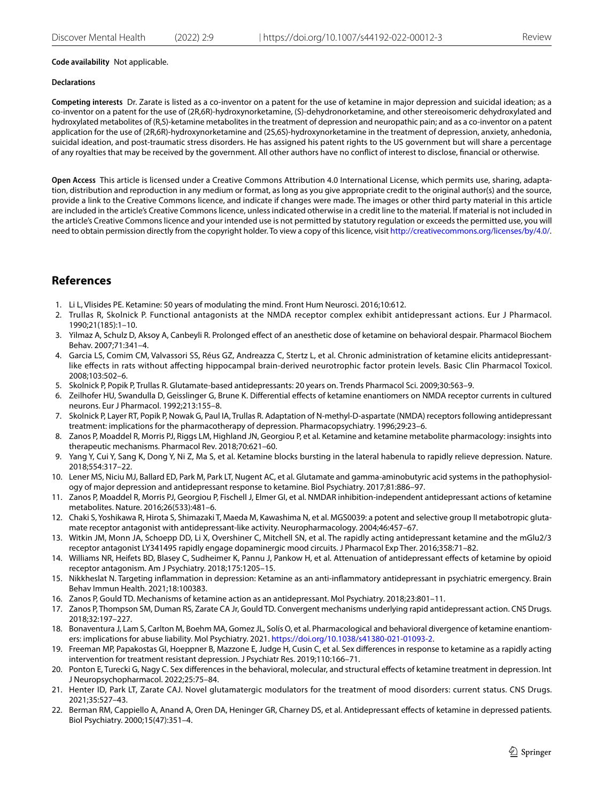#### **Code availability** Not applicable.

#### **Declarations**

**Competing interests** Dr. Zarate is listed as a co-inventor on a patent for the use of ketamine in major depression and suicidal ideation; as a co-inventor on a patent for the use of (2R,6R)-hydroxynorketamine, (S)-dehydronorketamine, and other stereoisomeric dehydroxylated and hydroxylated metabolites of (R,S)-ketamine metabolites in the treatment of depression and neuropathic pain; and as a co-inventor on a patent application for the use of (2R,6R)-hydroxynorketamine and (2S,6S)-hydroxynorketamine in the treatment of depression, anxiety, anhedonia, suicidal ideation, and post-traumatic stress disorders. He has assigned his patent rights to the US government but will share a percentage of any royalties that may be received by the government. All other authors have no confict of interest to disclose, fnancial or otherwise.

**Open Access** This article is licensed under a Creative Commons Attribution 4.0 International License, which permits use, sharing, adaptation, distribution and reproduction in any medium or format, as long as you give appropriate credit to the original author(s) and the source, provide a link to the Creative Commons licence, and indicate if changes were made. The images or other third party material in this article are included in the article's Creative Commons licence, unless indicated otherwise in a credit line to the material. If material is not included in the article's Creative Commons licence and your intended use is not permitted by statutory regulation or exceeds the permitted use, you will need to obtain permission directly from the copyright holder. To view a copy of this licence, visit<http://creativecommons.org/licenses/by/4.0/>.

### **References**

- <span id="page-10-0"></span>1. Li L, Vlisides PE. Ketamine: 50 years of modulating the mind. Front Hum Neurosci. 2016;10:612.
- <span id="page-10-1"></span>2. Trullas R, Skolnick P. Functional antagonists at the NMDA receptor complex exhibit antidepressant actions. Eur J Pharmacol. 1990;21(185):1–10.
- <span id="page-10-2"></span>3. Yilmaz A, Schulz D, Aksoy A, Canbeyli R. Prolonged efect of an anesthetic dose of ketamine on behavioral despair. Pharmacol Biochem Behav. 2007;71:341–4.
- 4. Garcia LS, Comim CM, Valvassori SS, Réus GZ, Andreazza C, Stertz L, et al. Chronic administration of ketamine elicits antidepressantlike efects in rats without afecting hippocampal brain-derived neurotrophic factor protein levels. Basic Clin Pharmacol Toxicol. 2008;103:502–6.
- <span id="page-10-3"></span>5. Skolnick P, Popik P, Trullas R. Glutamate-based antidepressants: 20 years on. Trends Pharmacol Sci. 2009;30:563–9.
- <span id="page-10-4"></span>6. Zeilhofer HU, Swandulla D, Geisslinger G, Brune K. Diferential efects of ketamine enantiomers on NMDA receptor currents in cultured neurons. Eur J Pharmacol. 1992;213:155–8.
- <span id="page-10-5"></span>7. Skolnick P, Layer RT, Popik P, Nowak G, Paul IA, Trullas R. Adaptation of N-methyl-D-aspartate (NMDA) receptors following antidepressant treatment: implications for the pharmacotherapy of depression. Pharmacopsychiatry. 1996;29:23–6.
- <span id="page-10-6"></span>8. Zanos P, Moaddel R, Morris PJ, Riggs LM, Highland JN, Georgiou P, et al. Ketamine and ketamine metabolite pharmacology: insights into therapeutic mechanisms. Pharmacol Rev. 2018;70:621–60.
- <span id="page-10-7"></span>9. Yang Y, Cui Y, Sang K, Dong Y, Ni Z, Ma S, et al. Ketamine blocks bursting in the lateral habenula to rapidly relieve depression. Nature. 2018;554:317–22.
- <span id="page-10-8"></span>10. Lener MS, Niciu MJ, Ballard ED, Park M, Park LT, Nugent AC, et al. Glutamate and gamma-aminobutyric acid systems in the pathophysiology of major depression and antidepressant response to ketamine. Biol Psychiatry. 2017;81:886–97.
- <span id="page-10-9"></span>11. Zanos P, Moaddel R, Morris PJ, Georgiou P, Fischell J, Elmer GI, et al. NMDAR inhibition-independent antidepressant actions of ketamine metabolites. Nature. 2016;26(533):481–6.
- <span id="page-10-10"></span>12. Chaki S, Yoshikawa R, Hirota S, Shimazaki T, Maeda M, Kawashima N, et al. MGS0039: a potent and selective group II metabotropic glutamate receptor antagonist with antidepressant-like activity. Neuropharmacology. 2004;46:457–67.
- <span id="page-10-11"></span>13. Witkin JM, Monn JA, Schoepp DD, Li X, Overshiner C, Mitchell SN, et al. The rapidly acting antidepressant ketamine and the mGlu2/3 receptor antagonist LY341495 rapidly engage dopaminergic mood circuits. J Pharmacol Exp Ther. 2016;358:71–82.
- <span id="page-10-12"></span>14. Williams NR, Heifets BD, Blasey C, Sudheimer K, Pannu J, Pankow H, et al. Attenuation of antidepressant efects of ketamine by opioid receptor antagonism. Am J Psychiatry. 2018;175:1205–15.
- <span id="page-10-13"></span>15. Nikkheslat N. Targeting infammation in depression: Ketamine as an anti-infammatory antidepressant in psychiatric emergency. Brain Behav Immun Health. 2021;18:100383.
- <span id="page-10-14"></span>16. Zanos P, Gould TD. Mechanisms of ketamine action as an antidepressant. Mol Psychiatry. 2018;23:801–11.
- <span id="page-10-15"></span>17. Zanos P, Thompson SM, Duman RS, Zarate CA Jr, Gould TD. Convergent mechanisms underlying rapid antidepressant action. CNS Drugs. 2018;32:197–227.
- <span id="page-10-16"></span>18. Bonaventura J, Lam S, Carlton M, Boehm MA, Gomez JL, Solís O, et al. Pharmacological and behavioral divergence of ketamine enantiomers: implications for abuse liability. Mol Psychiatry. 2021. [https://doi.org/10.1038/s41380-021-01093-2.](https://doi.org/10.1038/s41380-021-01093-2)
- <span id="page-10-17"></span>19. Freeman MP, Papakostas GI, Hoeppner B, Mazzone E, Judge H, Cusin C, et al. Sex diferences in response to ketamine as a rapidly acting intervention for treatment resistant depression. J Psychiatr Res. 2019;110:166–71.
- <span id="page-10-18"></span>20. Ponton E, Turecki G, Nagy C. Sex diferences in the behavioral, molecular, and structural efects of ketamine treatment in depression. Int J Neuropsychopharmacol. 2022;25:75–84.
- <span id="page-10-20"></span>21. Henter ID, Park LT, Zarate CAJ. Novel glutamatergic modulators for the treatment of mood disorders: current status. CNS Drugs. 2021;35:527–43.
- <span id="page-10-19"></span>22. Berman RM, Cappiello A, Anand A, Oren DA, Heninger GR, Charney DS, et al. Antidepressant efects of ketamine in depressed patients. Biol Psychiatry. 2000;15(47):351–4.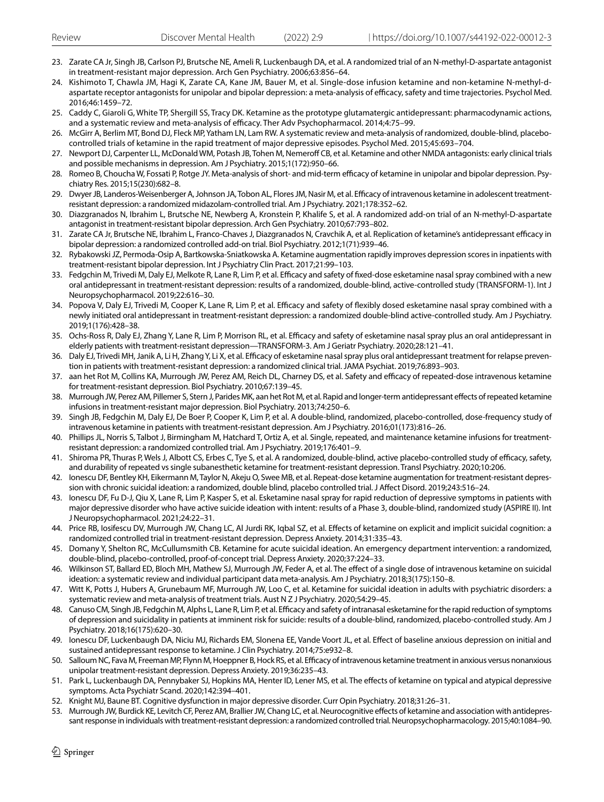- <span id="page-11-0"></span>23. Zarate CA Jr, Singh JB, Carlson PJ, Brutsche NE, Ameli R, Luckenbaugh DA, et al. A randomized trial of an N-methyl-D-aspartate antagonist in treatment-resistant major depression. Arch Gen Psychiatry. 2006;63:856–64.
- <span id="page-11-1"></span>24. Kishimoto T, Chawla JM, Hagi K, Zarate CA, Kane JM, Bauer M, et al. Single-dose infusion ketamine and non-ketamine N-methyl-daspartate receptor antagonists for unipolar and bipolar depression: a meta-analysis of efficacy, safety and time trajectories. Psychol Med. 2016;46:1459–72.
- <span id="page-11-2"></span>25. Caddy C, Giaroli G, White TP, Shergill SS, Tracy DK. Ketamine as the prototype glutamatergic antidepressant: pharmacodynamic actions, and a systematic review and meta-analysis of efficacy. Ther Adv Psychopharmacol. 2014;4:75-99.
- 26. McGirr A, Berlim MT, Bond DJ, Fleck MP, Yatham LN, Lam RW. A systematic review and meta-analysis of randomized, double-blind, placebocontrolled trials of ketamine in the rapid treatment of major depressive episodes. Psychol Med. 2015;45:693–704.
- 27. Newport DJ, Carpenter LL, McDonald WM, Potash JB, Tohen M, Nemeroff CB, et al. Ketamine and other NMDA antagonists: early clinical trials and possible mechanisms in depression. Am J Psychiatry. 2015;1(172):950–66.
- <span id="page-11-3"></span>28. Romeo B, Choucha W, Fossati P, Rotge JY. Meta-analysis of short- and mid-term efficacy of ketamine in unipolar and bipolar depression. Psychiatry Res. 2015;15(230):682–8.
- <span id="page-11-4"></span>29. Dwyer JB, Landeros-Weisenberger A, Johnson JA, Tobon AL, Flores JM, Nasir M, et al. Efficacy of intravenous ketamine in adolescent treatmentresistant depression: a randomized midazolam-controlled trial. Am J Psychiatry. 2021;178:352–62.
- <span id="page-11-5"></span>30. Diazgranados N, Ibrahim L, Brutsche NE, Newberg A, Kronstein P, Khalife S, et al. A randomized add-on trial of an N-methyl-D-aspartate antagonist in treatment-resistant bipolar depression. Arch Gen Psychiatry. 2010;67:793–802.
- <span id="page-11-6"></span>31. Zarate CA Jr, Brutsche NE, Ibrahim L, Franco-Chaves J, Diazgranados N, Cravchik A, et al. Replication of ketamine's antidepressant efficacy in bipolar depression: a randomized controlled add-on trial. Biol Psychiatry. 2012;1(71):939–46.
- <span id="page-11-7"></span>32. Rybakowski JZ, Permoda-Osip A, Bartkowska-Sniatkowska A. Ketamine augmentation rapidly improves depression scores in inpatients with treatment-resistant bipolar depression. Int J Psychiatry Clin Pract. 2017;21:99–103.
- <span id="page-11-8"></span>33. Fedgchin M, Trivedi M, Daly EJ, Melkote R, Lane R, Lim P, et al. Efficacy and safety of fixed-dose esketamine nasal spray combined with a new oral antidepressant in treatment-resistant depression: results of a randomized, double-blind, active-controlled study (TRANSFORM-1). Int J Neuropsychopharmacol. 2019;22:616–30.
- <span id="page-11-9"></span>34. Popova V, Daly EJ, Trivedi M, Cooper K, Lane R, Lim P, et al. Efficacy and safety of flexibly dosed esketamine nasal spray combined with a newly initiated oral antidepressant in treatment-resistant depression: a randomized double-blind active-controlled study. Am J Psychiatry. 2019;1(176):428–38.
- <span id="page-11-10"></span>35. Ochs-Ross R, Daly EJ, Zhang Y, Lane R, Lim P, Morrison RL, et al. Efficacy and safety of esketamine nasal spray plus an oral antidepressant in elderly patients with treatment-resistant depression—TRANSFORM-3. Am J Geriatr Psychiatry. 2020;28:121–41.
- <span id="page-11-11"></span>36. Daly EJ, Trivedi MH, Janik A, Li H, Zhang Y, Li X, et al. Efficacy of esketamine nasal spray plus oral antidepressant treatment for relapse prevention in patients with treatment-resistant depression: a randomized clinical trial. JAMA Psychiat. 2019;76:893–903.
- <span id="page-11-12"></span>37. aan het Rot M, Collins KA, Murrough JW, Perez AM, Reich DL, Charney DS, et al. Safety and efficacy of repeated-dose intravenous ketamine for treatment-resistant depression. Biol Psychiatry. 2010;67:139–45.
- 38. Murrough JW, Perez AM, Pillemer S, Stern J, Parides MK, aan het Rot M, et al. Rapid and longer-term antidepressant efects of repeated ketamine infusions in treatment-resistant major depression. Biol Psychiatry. 2013;74:250–6.
- <span id="page-11-14"></span>39. Singh JB, Fedgchin M, Daly EJ, De Boer P, Cooper K, Lim P, et al. A double-blind, randomized, placebo-controlled, dose-frequency study of intravenous ketamine in patients with treatment-resistant depression. Am J Psychiatry. 2016;01(173):816–26.
- <span id="page-11-13"></span>40. Phillips JL, Norris S, Talbot J, Birmingham M, Hatchard T, Ortiz A, et al. Single, repeated, and maintenance ketamine infusions for treatmentresistant depression: a randomized controlled trial. Am J Psychiatry. 2019;176:401–9.
- <span id="page-11-15"></span>41. Shiroma PR, Thuras P, Wels J, Albott CS, Erbes C, Tye S, et al. A randomized, double-blind, active placebo-controlled study of efficacy, safety, and durability of repeated vs single subanesthetic ketamine for treatment-resistant depression. Transl Psychiatry. 2020;10:206.
- <span id="page-11-16"></span>42. Ionescu DF, Bentley KH, Eikermann M, Taylor N, Akeju O, Swee MB, et al. Repeat-dose ketamine augmentation for treatment-resistant depression with chronic suicidal ideation: a randomized, double blind, placebo controlled trial. J Afect Disord. 2019;243:516–24.
- <span id="page-11-17"></span>43. Ionescu DF, Fu D-J, Qiu X, Lane R, Lim P, Kasper S, et al. Esketamine nasal spray for rapid reduction of depressive symptoms in patients with major depressive disorder who have active suicide ideation with intent: results of a Phase 3, double-blind, randomized study (ASPIRE II). Int J Neuropsychopharmacol. 2021;24:22–31.
- <span id="page-11-18"></span>44. Price RB, Iosifescu DV, Murrough JW, Chang LC, Al Jurdi RK, Iqbal SZ, et al. Efects of ketamine on explicit and implicit suicidal cognition: a randomized controlled trial in treatment-resistant depression. Depress Anxiety. 2014;31:335–43.
- <span id="page-11-19"></span>45. Domany Y, Shelton RC, McCullumsmith CB. Ketamine for acute suicidal ideation. An emergency department intervention: a randomized, double-blind, placebo-controlled, proof-of-concept trial. Depress Anxiety. 2020;37:224–33.
- <span id="page-11-20"></span>46. Wilkinson ST, Ballard ED, Bloch MH, Mathew SJ, Murrough JW, Feder A, et al. The efect of a single dose of intravenous ketamine on suicidal ideation: a systematic review and individual participant data meta-analysis. Am J Psychiatry. 2018;3(175):150–8.
- <span id="page-11-21"></span>47. Witt K, Potts J, Hubers A, Grunebaum MF, Murrough JW, Loo C, et al. Ketamine for suicidal ideation in adults with psychiatric disorders: a systematic review and meta-analysis of treatment trials. Aust N Z J Psychiatry. 2020;54:29–45.
- <span id="page-11-22"></span>48. Canuso CM, Singh JB, Fedgchin M, Alphs L, Lane R, Lim P, et al. Efficacy and safety of intranasal esketamine for the rapid reduction of symptoms of depression and suicidality in patients at imminent risk for suicide: results of a double-blind, randomized, placebo-controlled study. Am J Psychiatry. 2018;16(175):620–30.
- <span id="page-11-23"></span>49. Ionescu DF, Luckenbaugh DA, Niciu MJ, Richards EM, Slonena EE, Vande Voort JL, et al. Efect of baseline anxious depression on initial and sustained antidepressant response to ketamine. J Clin Psychiatry. 2014;75:e932–8.
- <span id="page-11-24"></span>50. Salloum NC, Fava M, Freeman MP, Flynn M, Hoeppner B, Hock RS, et al. Efcacy of intravenous ketamine treatment in anxious versus nonanxious unipolar treatment-resistant depression. Depress Anxiety. 2019;36:235–43.
- <span id="page-11-25"></span>51. Park L, Luckenbaugh DA, Pennybaker SJ, Hopkins MA, Henter ID, Lener MS, et al. The efects of ketamine on typical and atypical depressive symptoms. Acta Psychiatr Scand. 2020;142:394–401.
- <span id="page-11-26"></span>52. Knight MJ, Baune BT. Cognitive dysfunction in major depressive disorder. Curr Opin Psychiatry. 2018;31:26–31.
- <span id="page-11-27"></span>53. Murrough JW, Burdick KE, Levitch CF, Perez AM, Brallier JW, Chang LC, et al. Neurocognitive efects of ketamine and association with antidepressant response in individuals with treatment-resistant depression: a randomized controlled trial. Neuropsychopharmacology. 2015;40:1084–90.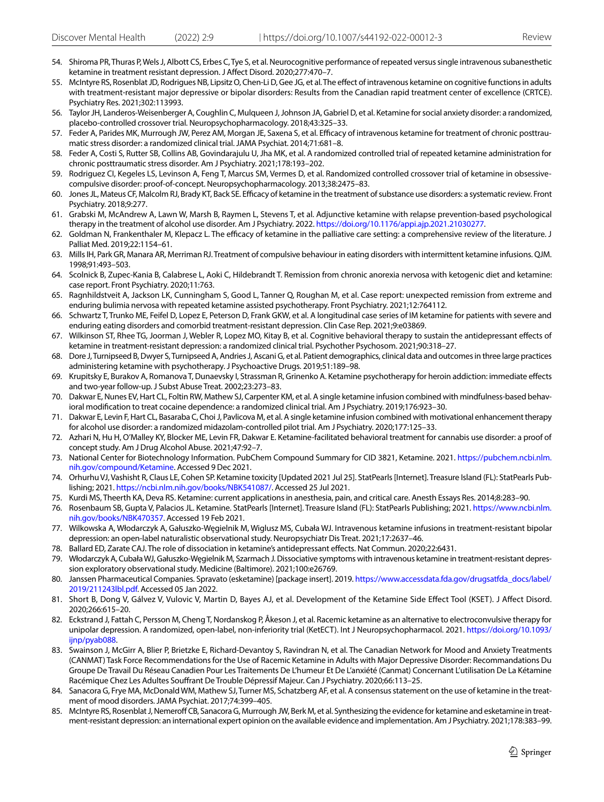- <span id="page-12-0"></span>54. Shiroma PR, Thuras P, Wels J, Albott CS, Erbes C, Tye S, et al. Neurocognitive performance of repeated versus single intravenous subanesthetic ketamine in treatment resistant depression. J Afect Disord. 2020;277:470–7.
- <span id="page-12-1"></span>55. McIntyre RS, Rosenblat JD, Rodrigues NB, Lipsitz O, Chen-Li D, Gee JG, et al. The efect of intravenous ketamine on cognitive functions in adults with treatment-resistant major depressive or bipolar disorders: Results from the Canadian rapid treatment center of excellence (CRTCE). Psychiatry Res. 2021;302:113993.
- <span id="page-12-2"></span>56. Taylor JH, Landeros-Weisenberger A, Coughlin C, Mulqueen J, Johnson JA, Gabriel D, et al. Ketamine for social anxiety disorder: a randomized, placebo-controlled crossover trial. Neuropsychopharmacology. 2018;43:325–33.
- <span id="page-12-3"></span>57. Feder A, Parides MK, Murrough JW, Perez AM, Morgan JE, Saxena S, et al. Efficacy of intravenous ketamine for treatment of chronic posttraumatic stress disorder: a randomized clinical trial. JAMA Psychiat. 2014;71:681–8.
- <span id="page-12-4"></span>58. Feder A, Costi S, Rutter SB, Collins AB, Govindarajulu U, Jha MK, et al. A randomized controlled trial of repeated ketamine administration for chronic posttraumatic stress disorder. Am J Psychiatry. 2021;178:193–202.
- <span id="page-12-5"></span>59. Rodriguez CI, Kegeles LS, Levinson A, Feng T, Marcus SM, Vermes D, et al. Randomized controlled crossover trial of ketamine in obsessivecompulsive disorder: proof-of-concept. Neuropsychopharmacology. 2013;38:2475–83.
- <span id="page-12-6"></span>60. Jones JL, Mateus CF, Malcolm RJ, Brady KT, Back SE. Efcacy of ketamine in the treatment of substance use disorders: a systematic review. Front Psychiatry. 2018;9:277.
- <span id="page-12-7"></span>61. Grabski M, McAndrew A, Lawn W, Marsh B, Raymen L, Stevens T, et al. Adjunctive ketamine with relapse prevention-based psychological therapy in the treatment of alcohol use disorder. Am J Psychiatry. 2022. [https://doi.org/10.1176/appi.ajp.2021.21030277.](https://doi.org/10.1176/appi.ajp.2021.21030277)
- <span id="page-12-8"></span>62. Goldman N, Frankenthaler M, Klepacz L. The efficacy of ketamine in the palliative care setting: a comprehensive review of the literature. J Palliat Med. 2019;22:1154–61.
- <span id="page-12-9"></span>63. Mills IH, Park GR, Manara AR, Merriman RJ. Treatment of compulsive behaviour in eating disorders with intermittent ketamine infusions. QJM. 1998;91:493–503.
- <span id="page-12-10"></span>64. Scolnick B, Zupec-Kania B, Calabrese L, Aoki C, Hildebrandt T. Remission from chronic anorexia nervosa with ketogenic diet and ketamine: case report. Front Psychiatry. 2020;11:763.
- <span id="page-12-11"></span>65. Ragnhildstveit A, Jackson LK, Cunningham S, Good L, Tanner Q, Roughan M, et al. Case report: unexpected remission from extreme and enduring bulimia nervosa with repeated ketamine assisted psychotherapy. Front Psychiatry. 2021;12:764112.
- <span id="page-12-12"></span>66. Schwartz T, Trunko ME, Feifel D, Lopez E, Peterson D, Frank GKW, et al. A longitudinal case series of IM ketamine for patients with severe and enduring eating disorders and comorbid treatment-resistant depression. Clin Case Rep. 2021;9:e03869.
- <span id="page-12-13"></span>67. Wilkinson ST, Rhee TG, Joorman J, Webler R, Lopez MO, Kitay B, et al. Cognitive behavioral therapy to sustain the antidepressant efects of ketamine in treatment-resistant depression: a randomized clinical trial. Psychother Psychosom. 2021;90:318–27.
- <span id="page-12-14"></span>68. Dore J, Turnipseed B, Dwyer S, Turnipseed A, Andries J, Ascani G, et al. Patient demographics, clinical data and outcomes in three large practices administering ketamine with psychotherapy. J Psychoactive Drugs. 2019;51:189–98.
- <span id="page-12-15"></span>69. Krupitsky E, Burakov A, Romanova T, Dunaevsky I, Strassman R, Grinenko A. Ketamine psychotherapy for heroin addiction: immediate efects and two-year follow-up. J Subst Abuse Treat. 2002;23:273–83.
- 70. Dakwar E, Nunes EV, Hart CL, Foltin RW, Mathew SJ, Carpenter KM, et al. A single ketamine infusion combined with mindfulness-based behavioral modifcation to treat cocaine dependence: a randomized clinical trial. Am J Psychiatry. 2019;176:923–30.
- 71. Dakwar E, Levin F, Hart CL, Basaraba C, Choi J, Pavlicova M, et al. A single ketamine infusion combined with motivational enhancement therapy for alcohol use disorder: a randomized midazolam-controlled pilot trial. Am J Psychiatry. 2020;177:125–33.
- <span id="page-12-16"></span>72. Azhari N, Hu H, O'Malley KY, Blocker ME, Levin FR, Dakwar E. Ketamine-facilitated behavioral treatment for cannabis use disorder: a proof of concept study. Am J Drug Alcohol Abuse. 2021;47:92–7.
- <span id="page-12-17"></span>73. National Center for Biotechnology Information. PubChem Compound Summary for CID 3821, Ketamine. 2021. [https://pubchem.ncbi.nlm.](https://pubchem.ncbi.nlm.nih.gov/compound/Ketamine) [nih.gov/compound/Ketamine](https://pubchem.ncbi.nlm.nih.gov/compound/Ketamine). Accessed 9 Dec 2021.
- <span id="page-12-18"></span>74. Orhurhu VJ, Vashisht R, Claus LE, Cohen SP. Ketamine toxicity [Updated 2021 Jul 25]. StatPearls [Internet]. Treasure Island (FL): StatPearls Publishing; 2021. [https://ncbi.nlm.nih.gov/books/NBK541087/.](https://ncbi.nlm.nih.gov/books/NBK541087/) Accessed 25 Jul 2021.
- <span id="page-12-19"></span>75. Kurdi MS, Theerth KA, Deva RS. Ketamine: current applications in anesthesia, pain, and critical care. Anesth Essays Res. 2014;8:283–90.
- <span id="page-12-20"></span>76. Rosenbaum SB, Gupta V, Palacios JL. Ketamine. StatPearls [Internet]. Treasure Island (FL): StatPearls Publishing; 2021. [https://www.ncbi.nlm.](https://www.ncbi.nlm.nih.gov/books/NBK470357) [nih.gov/books/NBK470357](https://www.ncbi.nlm.nih.gov/books/NBK470357). Accessed 19 Feb 2021.
- <span id="page-12-21"></span>77. Wilkowska A, Włodarczyk A, Gałuszko-Węgielnik M, Wiglusz MS, Cubała WJ. Intravenous ketamine infusions in treatment-resistant bipolar depression: an open-label naturalistic observational study. Neuropsychiatr Dis Treat. 2021;17:2637–46.
- <span id="page-12-22"></span>78. Ballard ED, Zarate CAJ. The role of dissociation in ketamine's antidepressant efects. Nat Commun. 2020;22:6431.
- <span id="page-12-23"></span>79. Włodarczyk A, Cubała WJ, Gałuszko-Węgielnik M, Szarmach J. Dissociative symptoms with intravenous ketamine in treatment-resistant depression exploratory observational study. Medicine (Baltimore). 2021;100:e26769.
- <span id="page-12-24"></span>80. Janssen Pharmaceutical Companies. Spravato (esketamine) [package insert]. 2019. [https://www.accessdata.fda.gov/drugsatfda\\_docs/label/](https://www.accessdata.fda.gov/drugsatfda_docs/label/2019/211243lbl.pdf) [2019/211243lbl.pdf](https://www.accessdata.fda.gov/drugsatfda_docs/label/2019/211243lbl.pdf). Accessed 05 Jan 2022.
- <span id="page-12-25"></span>81. Short B, Dong V, Gálvez V, Vulovic V, Martin D, Bayes AJ, et al. Development of the Ketamine Side Efect Tool (KSET). J Afect Disord. 2020;266:615–20.
- <span id="page-12-26"></span>82. Eckstrand J, Fattah C, Persson M, Cheng T, Nordanskog P, Åkeson J, et al. Racemic ketamine as an alternative to electroconvulsive therapy for unipolar depression. A randomized, open-label, non-inferiority trial (KetECT). Int J Neuropsychopharmacol. 2021. [https://doi.org/10.1093/](https://doi.org/10.1093/ijnp/pyab088) [ijnp/pyab088](https://doi.org/10.1093/ijnp/pyab088).
- <span id="page-12-27"></span>83. Swainson J, McGirr A, Blier P, Brietzke E, Richard-Devantoy S, Ravindran N, et al. The Canadian Network for Mood and Anxiety Treatments (CANMAT) Task Force Recommendations for the Use of Racemic Ketamine in Adults with Major Depressive Disorder: Recommandations Du Groupe De Travail Du Réseau Canadien Pour Les Traitements De L'humeur Et De L'anxiété (Canmat) Concernant L'utilisation De La Kétamine Racémique Chez Les Adultes Soufrant De Trouble Dépressif Majeur. Can J Psychiatry. 2020;66:113–25.
- <span id="page-12-28"></span>84. Sanacora G, Frye MA, McDonald WM, Mathew SJ, Turner MS, Schatzberg AF, et al. A consensus statement on the use of ketamine in the treatment of mood disorders. JAMA Psychiat. 2017;74:399–405.
- <span id="page-12-29"></span>McIntyre RS, Rosenblat J, Nemeroff CB, Sanacora G, Murrough JW, Berk M, et al. Synthesizing the evidence for ketamine and esketamine in treatment-resistant depression: an international expert opinion on the available evidence and implementation. Am J Psychiatry. 2021;178:383–99.